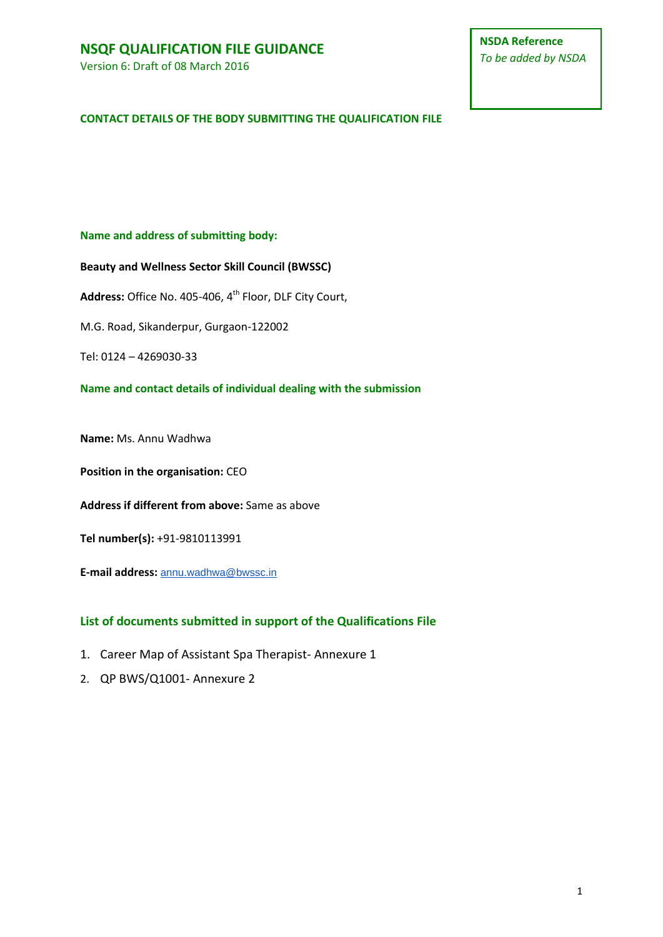Version 6: Draft of 08 March 2016

**CONTACT DETAILS OF THE BODY SUBMITTING THE QUALIFICATION FILE**

### **Name and address of submitting body:**

**Beauty and Wellness Sector Skill Council (BWSSC)**

Address: Office No. 405-406, 4<sup>th</sup> Floor, DLF City Court,

M.G. Road, Sikanderpur, Gurgaon-122002

Tel: 0124 – 4269030-33

**Name and contact details of individual dealing with the submission**

**Name:** Ms. Annu Wadhwa

**Position in the organisation:** CEO

**Address if different from above:** Same as above

**Tel number(s):** +91-9810113991

**E-mail address:** [annu.wadhwa@bwssc.in](mailto:annu.wadhwa@bwssc.in)

### **List of documents submitted in support of the Qualifications File**

- 1. Career Map of Assistant Spa Therapist- Annexure 1
- 2. QP BWS/Q1001- Annexure 2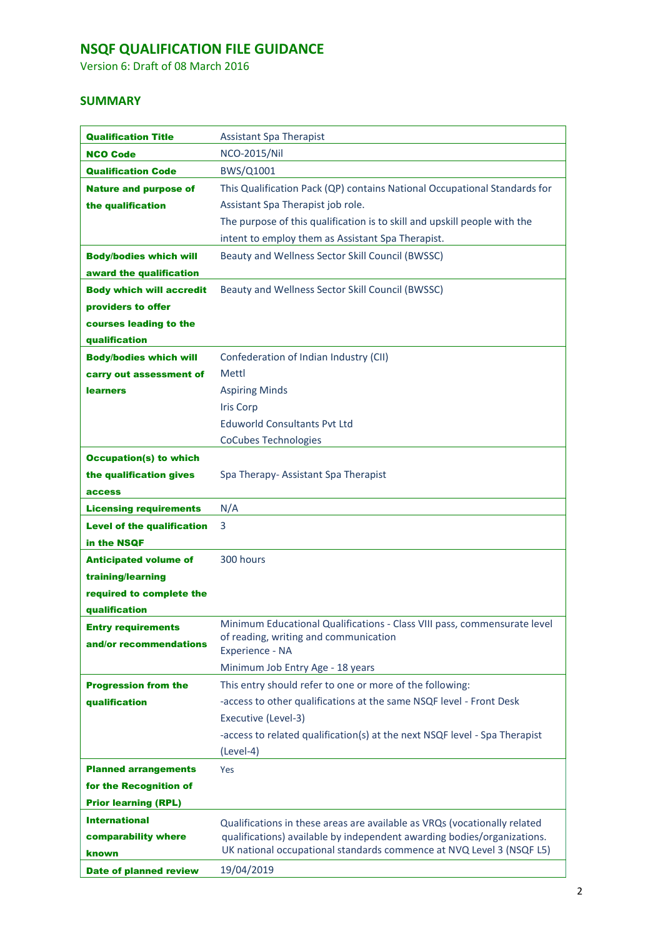Version 6: Draft of 08 March 2016

### **SUMMARY**

| <b>Qualification Title</b>        | <b>Assistant Spa Therapist</b>                                                                                    |
|-----------------------------------|-------------------------------------------------------------------------------------------------------------------|
| <b>NCO Code</b>                   | <b>NCO-2015/Nil</b>                                                                                               |
| <b>Qualification Code</b>         | BWS/Q1001                                                                                                         |
| <b>Nature and purpose of</b>      | This Qualification Pack (QP) contains National Occupational Standards for                                         |
| the qualification                 | Assistant Spa Therapist job role.                                                                                 |
|                                   | The purpose of this qualification is to skill and upskill people with the                                         |
|                                   | intent to employ them as Assistant Spa Therapist.                                                                 |
| <b>Body/bodies which will</b>     | Beauty and Wellness Sector Skill Council (BWSSC)                                                                  |
| award the qualification           |                                                                                                                   |
| <b>Body which will accredit</b>   | Beauty and Wellness Sector Skill Council (BWSSC)                                                                  |
| providers to offer                |                                                                                                                   |
| courses leading to the            |                                                                                                                   |
| qualification                     |                                                                                                                   |
| <b>Body/bodies which will</b>     | Confederation of Indian Industry (CII)                                                                            |
| carry out assessment of           | Mettl                                                                                                             |
| <b>learners</b>                   | <b>Aspiring Minds</b>                                                                                             |
|                                   | <b>Iris Corp</b>                                                                                                  |
|                                   | <b>Eduworld Consultants Pvt Ltd</b>                                                                               |
|                                   | <b>CoCubes Technologies</b>                                                                                       |
| <b>Occupation(s) to which</b>     |                                                                                                                   |
| the qualification gives           | Spa Therapy- Assistant Spa Therapist                                                                              |
| access                            |                                                                                                                   |
| <b>Licensing requirements</b>     | N/A                                                                                                               |
| <b>Level of the qualification</b> | 3                                                                                                                 |
| in the NSQF                       |                                                                                                                   |
| <b>Anticipated volume of</b>      | 300 hours                                                                                                         |
| training/learning                 |                                                                                                                   |
| required to complete the          |                                                                                                                   |
| qualification                     |                                                                                                                   |
| <b>Entry requirements</b>         | Minimum Educational Qualifications - Class VIII pass, commensurate level<br>of reading, writing and communication |
| and/or recommendations            | Experience - NA                                                                                                   |
|                                   | Minimum Job Entry Age - 18 years                                                                                  |
| <b>Progression from the</b>       | This entry should refer to one or more of the following:                                                          |
| qualification                     | -access to other qualifications at the same NSQF level - Front Desk                                               |
|                                   | Executive (Level-3)                                                                                               |
|                                   | -access to related qualification(s) at the next NSQF level - Spa Therapist                                        |
|                                   | $(Level-4)$                                                                                                       |
| <b>Planned arrangements</b>       | Yes                                                                                                               |
| for the Recognition of            |                                                                                                                   |
| <b>Prior learning (RPL)</b>       |                                                                                                                   |
| <b>International</b>              | Qualifications in these areas are available as VRQs (vocationally related                                         |
| comparability where               | qualifications) available by independent awarding bodies/organizations.                                           |
| known                             | UK national occupational standards commence at NVQ Level 3 (NSQF L5)                                              |
| <b>Date of planned review</b>     | 19/04/2019                                                                                                        |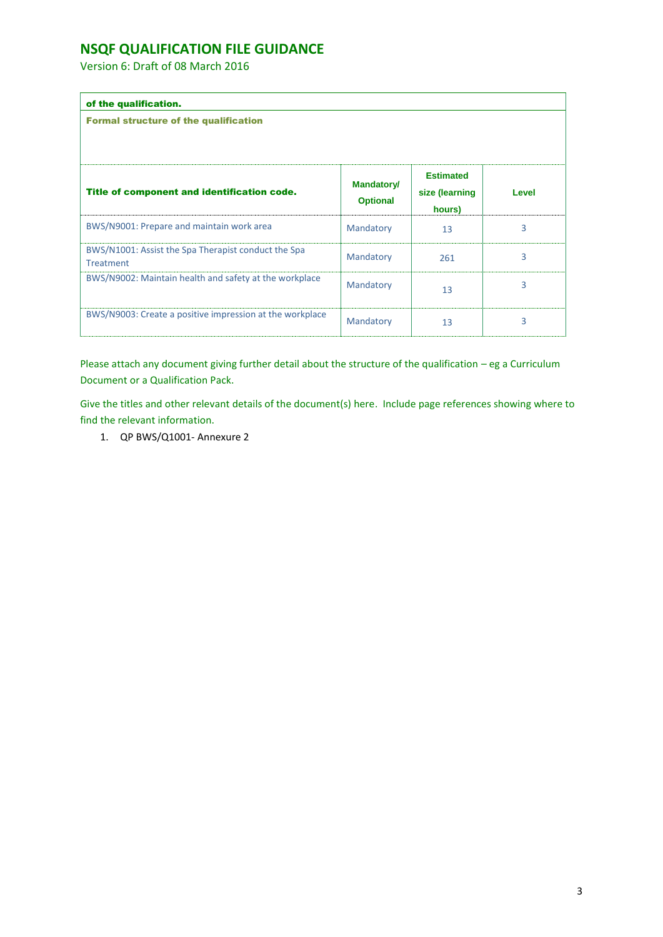Version 6: Draft of 08 March 2016

| of the qualification.                                                   |                                      |                                              |       |  |  |  |  |
|-------------------------------------------------------------------------|--------------------------------------|----------------------------------------------|-------|--|--|--|--|
| <b>Formal structure of the qualification</b>                            |                                      |                                              |       |  |  |  |  |
| Title of component and identification code.                             | <b>Mandatory/</b><br><b>Optional</b> | <b>Estimated</b><br>size (learning<br>hours) | Level |  |  |  |  |
| BWS/N9001: Prepare and maintain work area                               | Mandatory                            | 13                                           | 3     |  |  |  |  |
| BWS/N1001: Assist the Spa Therapist conduct the Spa<br><b>Treatment</b> | Mandatory                            | 261                                          | 3     |  |  |  |  |
| BWS/N9002: Maintain health and safety at the workplace                  | Mandatory                            | 13                                           | 3     |  |  |  |  |
| BWS/N9003: Create a positive impression at the workplace                | Mandatory                            | 13                                           | 3     |  |  |  |  |

Please attach any document giving further detail about the structure of the qualification – eg a Curriculum Document or a Qualification Pack.

Give the titles and other relevant details of the document(s) here. Include page references showing where to find the relevant information.

1. QP BWS/Q1001- Annexure 2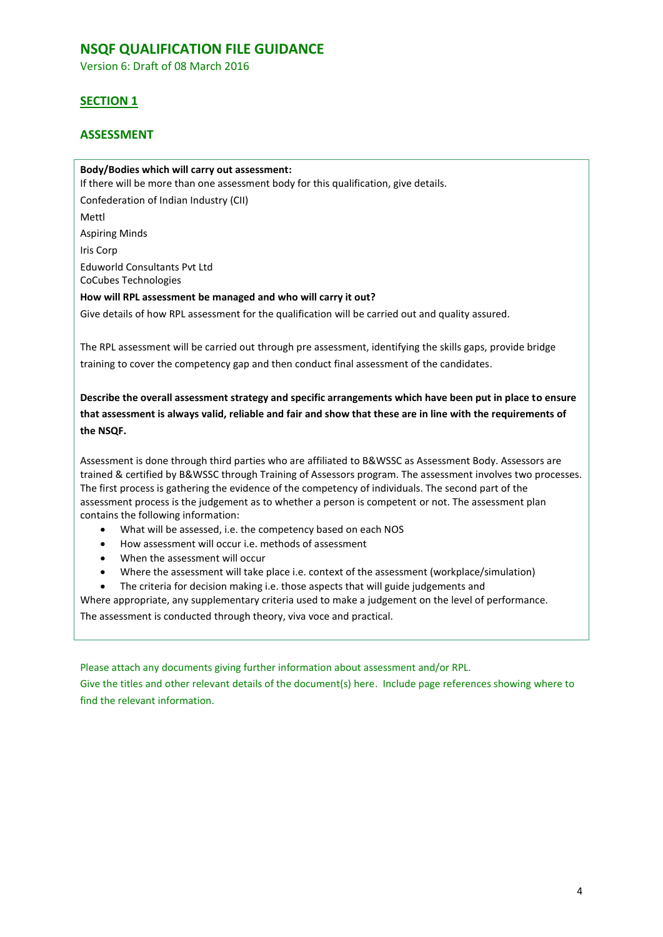Version 6: Draft of 08 March 2016

## **SECTION 1**

### **ASSESSMENT**

#### **Body/Bodies which will carry out assessment:**

If there will be more than one assessment body for this qualification, give details. Confederation of Indian Industry (CII) Mettl Aspiring Minds Iris Corp Eduworld Consultants Pvt Ltd CoCubes Technologies **How will RPL assessment be managed and who will carry it out?**  Give details of how RPL assessment for the qualification will be carried out and quality assured.

The RPL assessment will be carried out through pre assessment, identifying the skills gaps, provide bridge training to cover the competency gap and then conduct final assessment of the candidates.

**Describe the overall assessment strategy and specific arrangements which have been put in place to ensure that assessment is always valid, reliable and fair and show that these are in line with the requirements of the NSQF.**

Assessment is done through third parties who are affiliated to B&WSSC as Assessment Body. Assessors are trained & certified by B&WSSC through Training of Assessors program. The assessment involves two processes. The first process is gathering the evidence of the competency of individuals. The second part of the assessment process is the judgement as to whether a person is competent or not. The assessment plan contains the following information:

- What will be assessed, i.e. the competency based on each NOS
- How assessment will occur i.e. methods of assessment
- When the assessment will occur
- Where the assessment will take place i.e. context of the assessment (workplace/simulation)
- The criteria for decision making i.e. those aspects that will guide judgements and

Where appropriate, any supplementary criteria used to make a judgement on the level of performance. The assessment is conducted through theory, viva voce and practical.

Please attach any documents giving further information about assessment and/or RPL.

Give the titles and other relevant details of the document(s) here. Include page references showing where to find the relevant information.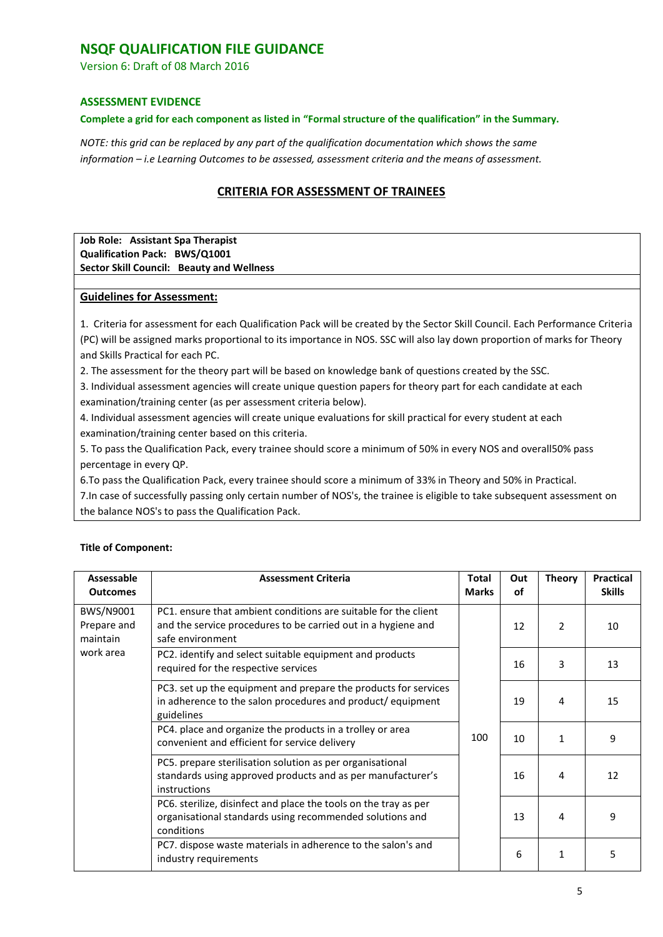Version 6: Draft of 08 March 2016

### **ASSESSMENT EVIDENCE**

#### **Complete a grid for each component as listed in "Formal structure of the qualification" in the Summary.**

*NOTE: this grid can be replaced by any part of the qualification documentation which shows the same information – i.e Learning Outcomes to be assessed, assessment criteria and the means of assessment.* 

## **CRITERIA FOR ASSESSMENT OF TRAINEES**

#### **Job Role: Assistant Spa Therapist Qualification Pack: BWS/Q1001 Sector Skill Council: Beauty and Wellness**

### **Guidelines for Assessment:**

1. Criteria for assessment for each Qualification Pack will be created by the Sector Skill Council. Each Performance Criteria (PC) will be assigned marks proportional to its importance in NOS. SSC will also lay down proportion of marks for Theory and Skills Practical for each PC.

2. The assessment for the theory part will be based on knowledge bank of questions created by the SSC.

3. Individual assessment agencies will create unique question papers for theory part for each candidate at each examination/training center (as per assessment criteria below).

4. Individual assessment agencies will create unique evaluations for skill practical for every student at each examination/training center based on this criteria.

5. To pass the Qualification Pack, every trainee should score a minimum of 50% in every NOS and overall50% pass percentage in every QP.

6.To pass the Qualification Pack, every trainee should score a minimum of 33% in Theory and 50% in Practical.

7.In case of successfully passing only certain number of NOS's, the trainee is eligible to take subsequent assessment on the balance NOS's to pass the Qualification Pack.

| Assessable<br><b>Outcomes</b>        | <b>Assessment Criteria</b>                                                                                                                           | <b>Total</b><br><b>Marks</b> | Out<br>οf | <b>Theory</b>  | Practical<br><b>Skills</b> |
|--------------------------------------|------------------------------------------------------------------------------------------------------------------------------------------------------|------------------------------|-----------|----------------|----------------------------|
| BWS/N9001<br>Prepare and<br>maintain | PC1, ensure that ambient conditions are suitable for the client<br>and the service procedures to be carried out in a hygiene and<br>safe environment | 100                          | 12        | $\overline{2}$ | 10                         |
| work area                            | PC2. identify and select suitable equipment and products<br>required for the respective services                                                     |                              | 16        | 3              | 13                         |
|                                      | PC3. set up the equipment and prepare the products for services<br>in adherence to the salon procedures and product/equipment<br>guidelines          |                              | 19        | 4              | 15                         |
|                                      | PC4. place and organize the products in a trolley or area<br>convenient and efficient for service delivery                                           |                              | 10        | 1              | 9                          |
|                                      | PC5. prepare sterilisation solution as per organisational<br>standards using approved products and as per manufacturer's<br>instructions             |                              | 16        | 4              | 12                         |
|                                      | PC6. sterilize, disinfect and place the tools on the tray as per<br>organisational standards using recommended solutions and<br>conditions           |                              | 13        | 4              | 9                          |
|                                      | PC7. dispose waste materials in adherence to the salon's and<br>industry requirements                                                                |                              | 6         |                | 5                          |

#### **Title of Component:**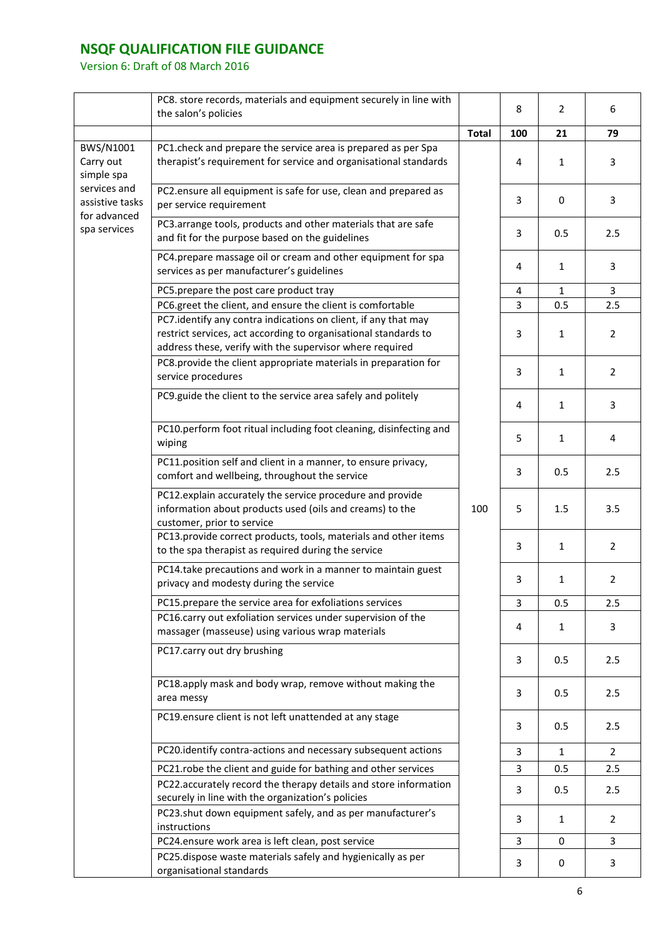|                                                                                         | PC8. store records, materials and equipment securely in line with<br>the salon's policies                                                                                                     |              | 8   | 2            | 6              |
|-----------------------------------------------------------------------------------------|-----------------------------------------------------------------------------------------------------------------------------------------------------------------------------------------------|--------------|-----|--------------|----------------|
|                                                                                         |                                                                                                                                                                                               | <b>Total</b> | 100 | 21           | 79             |
| BWS/N1001<br>Carry out<br>simple spa<br>services and<br>assistive tasks<br>for advanced | PC1.check and prepare the service area is prepared as per Spa<br>therapist's requirement for service and organisational standards                                                             | 4            |     | 1            | 3              |
|                                                                                         | PC2.ensure all equipment is safe for use, clean and prepared as<br>per service requirement                                                                                                    |              | 3   | 0            | 3              |
| spa services                                                                            | PC3.arrange tools, products and other materials that are safe<br>and fit for the purpose based on the guidelines                                                                              |              | 3   | 0.5          | 2.5            |
|                                                                                         | PC4.prepare massage oil or cream and other equipment for spa<br>services as per manufacturer's guidelines                                                                                     |              | 4   | $\mathbf{1}$ | 3              |
|                                                                                         | PC5.prepare the post care product tray                                                                                                                                                        |              | 4   | $\mathbf{1}$ | 3              |
|                                                                                         | PC6.greet the client, and ensure the client is comfortable                                                                                                                                    |              | 3   | 0.5          | 2.5            |
|                                                                                         | PC7.identify any contra indications on client, if any that may<br>restrict services, act according to organisational standards to<br>address these, verify with the supervisor where required |              | 3   | 1            | 2              |
|                                                                                         | PC8.provide the client appropriate materials in preparation for<br>service procedures                                                                                                         |              | 3   | $\mathbf{1}$ | $\overline{2}$ |
|                                                                                         | PC9.guide the client to the service area safely and politely                                                                                                                                  | 100          | 4   | $\mathbf{1}$ | 3              |
|                                                                                         | PC10.perform foot ritual including foot cleaning, disinfecting and<br>wiping                                                                                                                  |              | 5   | $\mathbf{1}$ | 4              |
|                                                                                         | PC11.position self and client in a manner, to ensure privacy,<br>comfort and wellbeing, throughout the service                                                                                |              | 3   | 0.5          | 2.5            |
|                                                                                         | PC12.explain accurately the service procedure and provide<br>information about products used (oils and creams) to the<br>customer, prior to service                                           |              | 5   | 1.5          | 3.5            |
|                                                                                         | PC13.provide correct products, tools, materials and other items<br>to the spa therapist as required during the service                                                                        |              | 3   | $\mathbf{1}$ | $\overline{2}$ |
|                                                                                         | PC14.take precautions and work in a manner to maintain guest<br>privacy and modesty during the service                                                                                        |              | 3   | 1            | $\overline{2}$ |
|                                                                                         | PC15.prepare the service area for exfoliations services                                                                                                                                       |              | 3   | 0.5          | 2.5            |
|                                                                                         | PC16.carry out exfoliation services under supervision of the<br>massager (masseuse) using various wrap materials                                                                              |              | 4   | 1            | 3              |
|                                                                                         | PC17.carry out dry brushing                                                                                                                                                                   |              | 3   | 0.5          | 2.5            |
|                                                                                         | PC18.apply mask and body wrap, remove without making the<br>area messy                                                                                                                        |              | 3   | 0.5          | 2.5            |
|                                                                                         | PC19.ensure client is not left unattended at any stage                                                                                                                                        | 3            |     | 0.5          | 2.5            |
|                                                                                         | PC20.identify contra-actions and necessary subsequent actions                                                                                                                                 |              | 3   | $\mathbf{1}$ | 2              |
|                                                                                         | PC21.robe the client and guide for bathing and other services                                                                                                                                 |              | 3   | 0.5          | 2.5            |
|                                                                                         | PC22.accurately record the therapy details and store information<br>securely in line with the organization's policies                                                                         |              | 3   | 0.5          | 2.5            |
|                                                                                         | PC23.shut down equipment safely, and as per manufacturer's<br>instructions                                                                                                                    |              | 3   | $\mathbf{1}$ | 2              |
|                                                                                         | PC24.ensure work area is left clean, post service                                                                                                                                             |              | 3   | 0            | 3              |
|                                                                                         | PC25.dispose waste materials safely and hygienically as per<br>organisational standards                                                                                                       |              | 3   | 0            | 3              |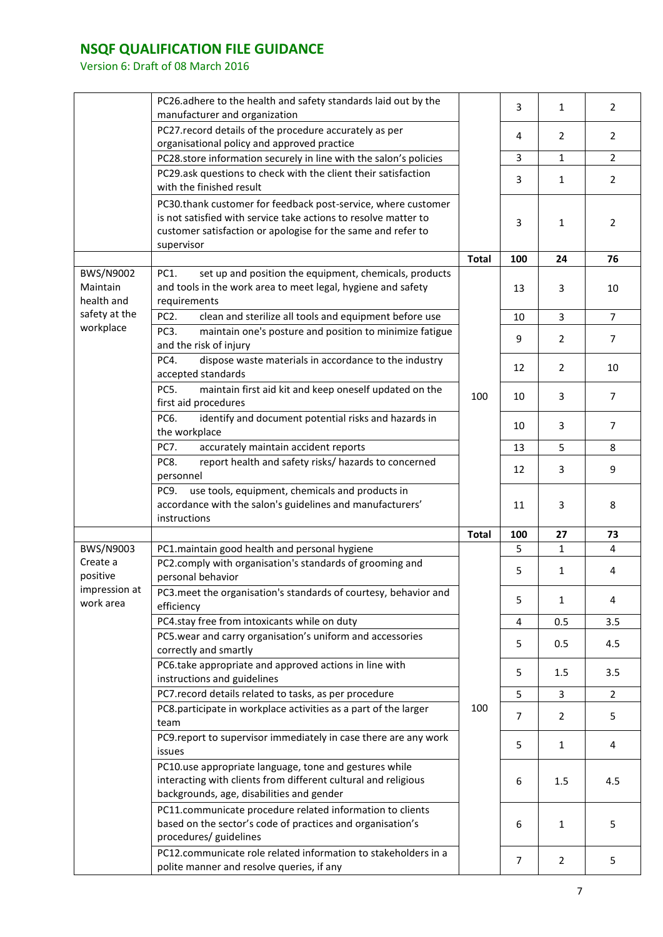|                                     | PC26.adhere to the health and safety standards laid out by the<br>manufacturer and organization                                                                                                                |              | 3              | 1              | $\overline{2}$ |
|-------------------------------------|----------------------------------------------------------------------------------------------------------------------------------------------------------------------------------------------------------------|--------------|----------------|----------------|----------------|
|                                     | PC27. record details of the procedure accurately as per<br>organisational policy and approved practice                                                                                                         |              | 4              | 2              | 2              |
|                                     | PC28.store information securely in line with the salon's policies                                                                                                                                              |              | 3              | $\mathbf{1}$   | $\overline{2}$ |
|                                     | PC29.ask questions to check with the client their satisfaction                                                                                                                                                 |              | 3              | $\mathbf{1}$   | $\overline{2}$ |
|                                     | with the finished result                                                                                                                                                                                       |              |                |                |                |
|                                     | PC30.thank customer for feedback post-service, where customer<br>is not satisfied with service take actions to resolve matter to<br>customer satisfaction or apologise for the same and refer to<br>supervisor |              | 3              | $\mathbf{1}$   | $\overline{2}$ |
|                                     |                                                                                                                                                                                                                | <b>Total</b> | 100            | 24             | 76             |
| BWS/N9002<br>Maintain<br>health and | PC1.<br>set up and position the equipment, chemicals, products<br>and tools in the work area to meet legal, hygiene and safety<br>requirements                                                                 |              | 13             | 3              | 10             |
| safety at the                       | PC <sub>2</sub> .<br>clean and sterilize all tools and equipment before use                                                                                                                                    |              | 10             | 3              | 7              |
| workplace                           | PC3.<br>maintain one's posture and position to minimize fatigue<br>and the risk of injury                                                                                                                      |              | 9              | $\overline{2}$ | $\overline{7}$ |
|                                     | dispose waste materials in accordance to the industry<br>PC4.<br>accepted standards                                                                                                                            |              | 12             | $\overline{2}$ | 10             |
|                                     | maintain first aid kit and keep oneself updated on the<br>PC5.<br>first aid procedures                                                                                                                         | 100          | 10             | 3              | $\overline{7}$ |
|                                     | PC6.<br>identify and document potential risks and hazards in<br>the workplace                                                                                                                                  |              | 10             | 3              | $\overline{7}$ |
|                                     | <b>PC7.</b><br>accurately maintain accident reports                                                                                                                                                            |              | 13             | 5              | 8              |
|                                     | PC8.<br>report health and safety risks/ hazards to concerned<br>personnel                                                                                                                                      |              | 12             | 3              | 9              |
|                                     | use tools, equipment, chemicals and products in<br>PC9.<br>accordance with the salon's guidelines and manufacturers'<br>instructions                                                                           |              | 11             | 3              | 8              |
|                                     |                                                                                                                                                                                                                | <b>Total</b> | 100            | 27             | 73             |
| BWS/N9003                           | PC1.maintain good health and personal hygiene                                                                                                                                                                  |              | 5              | 1              | 4              |
| Create a<br>positive                | PC2.comply with organisation's standards of grooming and<br>personal behavior                                                                                                                                  |              | 5              | 1              | 4              |
| impression at<br>work area          | PC3.meet the organisation's standards of courtesy, behavior and<br>efficiency                                                                                                                                  |              | 5              | $\mathbf{1}$   | 4              |
|                                     | PC4.stay free from intoxicants while on duty                                                                                                                                                                   |              | 4              | 0.5            | 3.5            |
|                                     | PC5.wear and carry organisation's uniform and accessories<br>correctly and smartly                                                                                                                             |              | 5              | 0.5            | 4.5            |
|                                     | PC6.take appropriate and approved actions in line with<br>instructions and guidelines                                                                                                                          |              | 5              | 1.5            | 3.5            |
|                                     | PC7. record details related to tasks, as per procedure                                                                                                                                                         |              | 5              | $\overline{3}$ | $\overline{2}$ |
|                                     | PC8.participate in workplace activities as a part of the larger<br>team                                                                                                                                        | 100          | $\overline{7}$ | 2              | 5              |
|                                     | PC9.report to supervisor immediately in case there are any work<br>issues                                                                                                                                      |              | 5              | $\mathbf{1}$   | 4              |
|                                     | PC10.use appropriate language, tone and gestures while<br>interacting with clients from different cultural and religious<br>backgrounds, age, disabilities and gender                                          |              | 6              | 1.5            | 4.5            |
|                                     | PC11.communicate procedure related information to clients<br>based on the sector's code of practices and organisation's<br>procedures/ guidelines                                                              |              | 6              | 1              | 5              |
|                                     | PC12.communicate role related information to stakeholders in a<br>polite manner and resolve queries, if any                                                                                                    |              | 7              | $\overline{2}$ | 5              |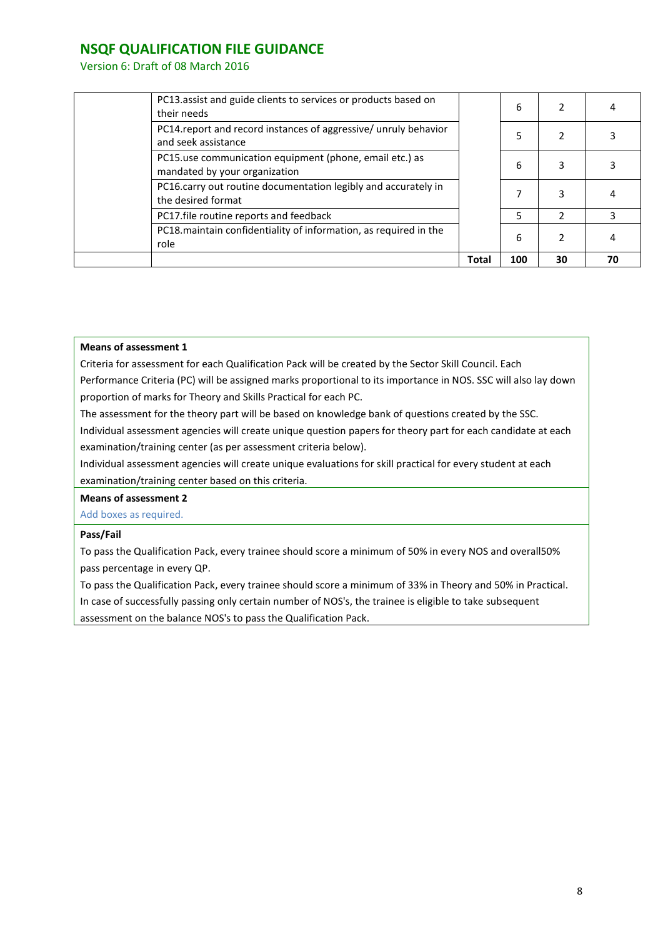### Version 6: Draft of 08 March 2016

|                                                                                          | Total | 100 | 30            |  |
|------------------------------------------------------------------------------------------|-------|-----|---------------|--|
| PC18. maintain confidentiality of information, as required in the<br>role                |       | 6   | $\mathcal{P}$ |  |
| PC17.file routine reports and feedback                                                   |       | .5  | າ             |  |
| PC16.carry out routine documentation legibly and accurately in<br>the desired format     |       |     | 3             |  |
| PC15.use communication equipment (phone, email etc.) as<br>mandated by your organization |       | 6   | 3             |  |
| PC14.report and record instances of aggressive/ unruly behavior<br>and seek assistance   |       | 5   |               |  |
| PC13 assist and guide clients to services or products based on<br>their needs            |       | 6   | $\mathfrak z$ |  |

#### **Means of assessment 1**

Criteria for assessment for each Qualification Pack will be created by the Sector Skill Council. Each Performance Criteria (PC) will be assigned marks proportional to its importance in NOS. SSC will also lay down proportion of marks for Theory and Skills Practical for each PC.

The assessment for the theory part will be based on knowledge bank of questions created by the SSC.

Individual assessment agencies will create unique question papers for theory part for each candidate at each examination/training center (as per assessment criteria below).

Individual assessment agencies will create unique evaluations for skill practical for every student at each examination/training center based on this criteria.

### **Means of assessment 2**

#### Add boxes as required.

#### **Pass/Fail**

To pass the Qualification Pack, every trainee should score a minimum of 50% in every NOS and overall50% pass percentage in every QP.

To pass the Qualification Pack, every trainee should score a minimum of 33% in Theory and 50% in Practical. In case of successfully passing only certain number of NOS's, the trainee is eligible to take subsequent assessment on the balance NOS's to pass the Qualification Pack.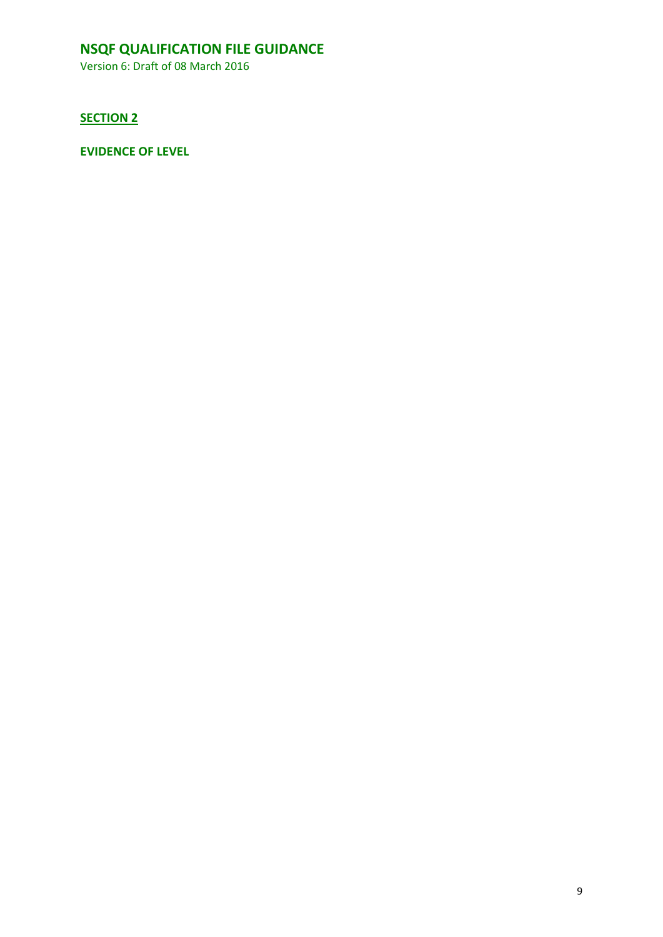Version 6: Draft of 08 March 2016

**SECTION 2**

**EVIDENCE OF LEVEL**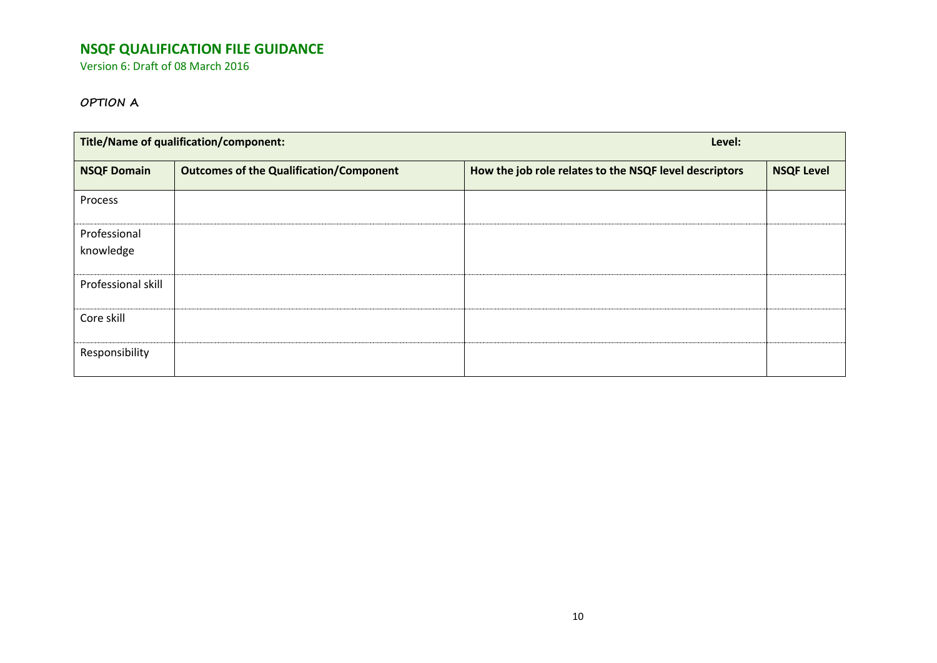Version 6: Draft of 08 March 2016

## **OPTION A**

|                           | <b>Title/Name of qualification/component:</b>  | Level:                                                 |                   |  |
|---------------------------|------------------------------------------------|--------------------------------------------------------|-------------------|--|
| <b>NSQF Domain</b>        | <b>Outcomes of the Qualification/Component</b> | How the job role relates to the NSQF level descriptors | <b>NSQF Level</b> |  |
| Process                   |                                                |                                                        |                   |  |
| Professional<br>knowledge |                                                |                                                        |                   |  |
| Professional skill        |                                                |                                                        |                   |  |
| Core skill                |                                                |                                                        |                   |  |
| Responsibility            |                                                |                                                        |                   |  |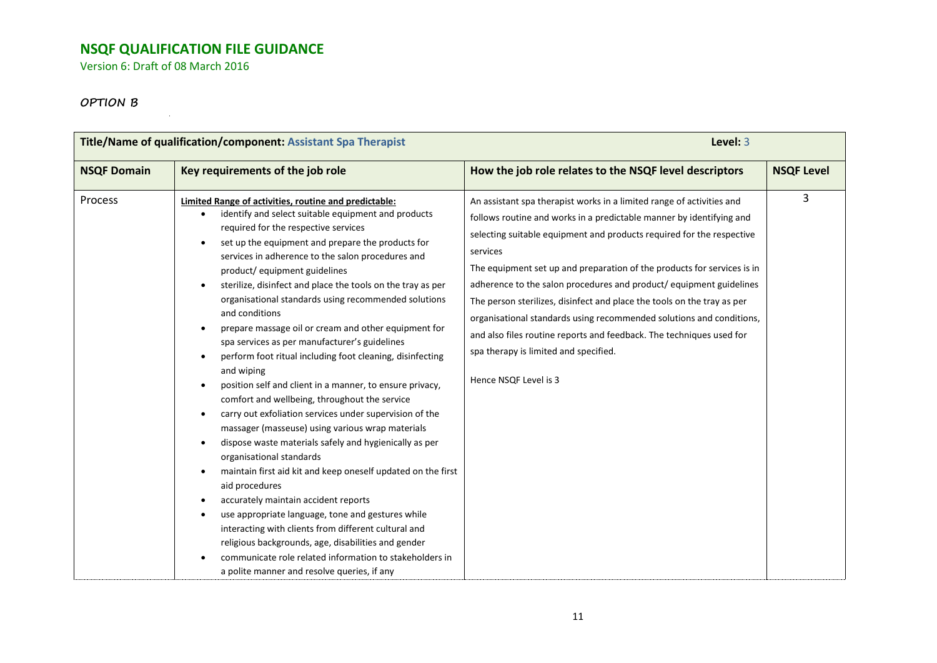Version 6: Draft of 08 March 2016

## **OPTION B**

|                    | Title/Name of qualification/component: Assistant Spa Therapist                                                                                                                                                                                                                                                                                                                                                                                                                                                                                                                                                                                                                                                                                                                                                                                                                                                                                                                                                                                                                                                                                                                                                                                                                                                                                                                                                                                                                           | Level: 3                                                                                                                                                                                                                                                                                                                                                                                                                                                                                                                                                                                                                                                                          |                   |
|--------------------|------------------------------------------------------------------------------------------------------------------------------------------------------------------------------------------------------------------------------------------------------------------------------------------------------------------------------------------------------------------------------------------------------------------------------------------------------------------------------------------------------------------------------------------------------------------------------------------------------------------------------------------------------------------------------------------------------------------------------------------------------------------------------------------------------------------------------------------------------------------------------------------------------------------------------------------------------------------------------------------------------------------------------------------------------------------------------------------------------------------------------------------------------------------------------------------------------------------------------------------------------------------------------------------------------------------------------------------------------------------------------------------------------------------------------------------------------------------------------------------|-----------------------------------------------------------------------------------------------------------------------------------------------------------------------------------------------------------------------------------------------------------------------------------------------------------------------------------------------------------------------------------------------------------------------------------------------------------------------------------------------------------------------------------------------------------------------------------------------------------------------------------------------------------------------------------|-------------------|
| <b>NSQF Domain</b> | Key requirements of the job role                                                                                                                                                                                                                                                                                                                                                                                                                                                                                                                                                                                                                                                                                                                                                                                                                                                                                                                                                                                                                                                                                                                                                                                                                                                                                                                                                                                                                                                         | How the job role relates to the NSQF level descriptors                                                                                                                                                                                                                                                                                                                                                                                                                                                                                                                                                                                                                            | <b>NSQF Level</b> |
| Process            | Limited Range of activities, routine and predictable:<br>identify and select suitable equipment and products<br>required for the respective services<br>set up the equipment and prepare the products for<br>$\bullet$<br>services in adherence to the salon procedures and<br>product/ equipment guidelines<br>sterilize, disinfect and place the tools on the tray as per<br>$\bullet$<br>organisational standards using recommended solutions<br>and conditions<br>prepare massage oil or cream and other equipment for<br>$\bullet$<br>spa services as per manufacturer's guidelines<br>perform foot ritual including foot cleaning, disinfecting<br>$\bullet$<br>and wiping<br>position self and client in a manner, to ensure privacy,<br>$\bullet$<br>comfort and wellbeing, throughout the service<br>carry out exfoliation services under supervision of the<br>$\bullet$<br>massager (masseuse) using various wrap materials<br>dispose waste materials safely and hygienically as per<br>$\bullet$<br>organisational standards<br>maintain first aid kit and keep oneself updated on the first<br>$\bullet$<br>aid procedures<br>accurately maintain accident reports<br>$\bullet$<br>use appropriate language, tone and gestures while<br>$\bullet$<br>interacting with clients from different cultural and<br>religious backgrounds, age, disabilities and gender<br>communicate role related information to stakeholders in<br>a polite manner and resolve queries, if any | An assistant spa therapist works in a limited range of activities and<br>follows routine and works in a predictable manner by identifying and<br>selecting suitable equipment and products required for the respective<br>services<br>The equipment set up and preparation of the products for services is in<br>adherence to the salon procedures and product/ equipment guidelines<br>The person sterilizes, disinfect and place the tools on the tray as per<br>organisational standards using recommended solutions and conditions,<br>and also files routine reports and feedback. The techniques used for<br>spa therapy is limited and specified.<br>Hence NSQF Level is 3 | 3                 |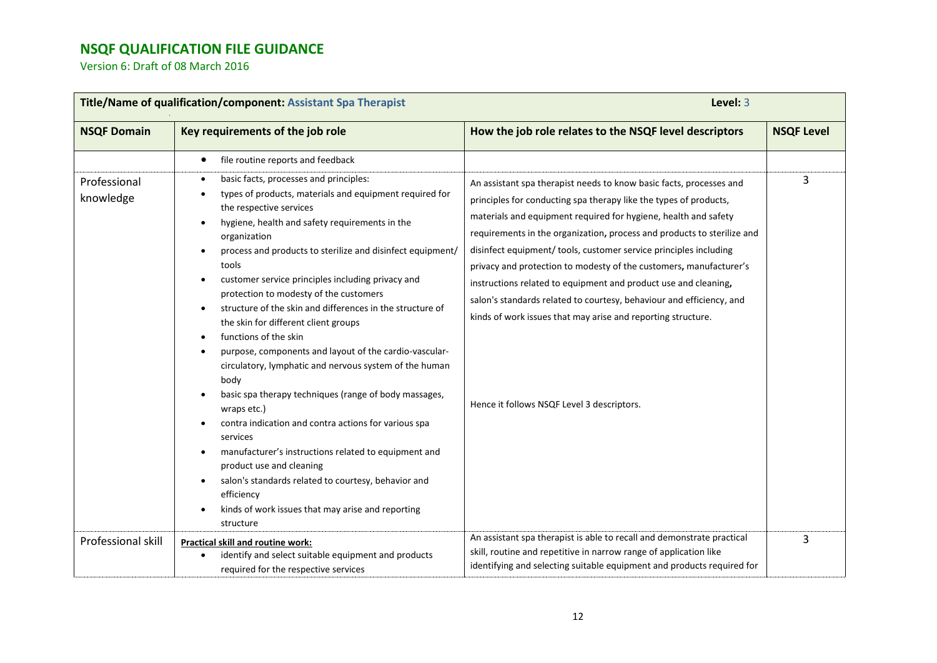|                           | Title/Name of qualification/component: Assistant Spa Therapist                                                                                                                                                                                                                                                                                                                                                                           | Level: 3                                                                                                                                                                                                                                                                                                                                                                                                                                                                                                                                                                     |                   |  |
|---------------------------|------------------------------------------------------------------------------------------------------------------------------------------------------------------------------------------------------------------------------------------------------------------------------------------------------------------------------------------------------------------------------------------------------------------------------------------|------------------------------------------------------------------------------------------------------------------------------------------------------------------------------------------------------------------------------------------------------------------------------------------------------------------------------------------------------------------------------------------------------------------------------------------------------------------------------------------------------------------------------------------------------------------------------|-------------------|--|
| <b>NSQF Domain</b>        | Key requirements of the job role                                                                                                                                                                                                                                                                                                                                                                                                         | How the job role relates to the NSQF level descriptors                                                                                                                                                                                                                                                                                                                                                                                                                                                                                                                       | <b>NSQF Level</b> |  |
| Professional<br>knowledge | file routine reports and feedback<br>$\bullet$<br>basic facts, processes and principles:<br>types of products, materials and equipment required for<br>the respective services<br>hygiene, health and safety requirements in the<br>٠<br>organization<br>process and products to sterilize and disinfect equipment/<br>tools<br>customer service principles including privacy and<br>$\bullet$<br>protection to modesty of the customers | An assistant spa therapist needs to know basic facts, processes and<br>principles for conducting spa therapy like the types of products,<br>materials and equipment required for hygiene, health and safety<br>requirements in the organization, process and products to sterilize and<br>disinfect equipment/ tools, customer service principles including<br>privacy and protection to modesty of the customers, manufacturer's<br>instructions related to equipment and product use and cleaning,<br>salon's standards related to courtesy, behaviour and efficiency, and | 3                 |  |
|                           | structure of the skin and differences in the structure of<br>the skin for different client groups<br>functions of the skin<br>purpose, components and layout of the cardio-vascular-<br>circulatory, lymphatic and nervous system of the human<br>body<br>basic spa therapy techniques (range of body massages,<br>wraps etc.)<br>contra indication and contra actions for various spa<br>services                                       | kinds of work issues that may arise and reporting structure.<br>Hence it follows NSQF Level 3 descriptors.                                                                                                                                                                                                                                                                                                                                                                                                                                                                   |                   |  |
|                           | manufacturer's instructions related to equipment and<br>product use and cleaning<br>salon's standards related to courtesy, behavior and<br>- 0<br>efficiency<br>kinds of work issues that may arise and reporting<br>structure                                                                                                                                                                                                           |                                                                                                                                                                                                                                                                                                                                                                                                                                                                                                                                                                              |                   |  |
| Professional skill        | Practical skill and routine work:<br>identify and select suitable equipment and products<br>required for the respective services                                                                                                                                                                                                                                                                                                         | An assistant spa therapist is able to recall and demonstrate practical<br>skill, routine and repetitive in narrow range of application like<br>identifying and selecting suitable equipment and products required for                                                                                                                                                                                                                                                                                                                                                        | 3                 |  |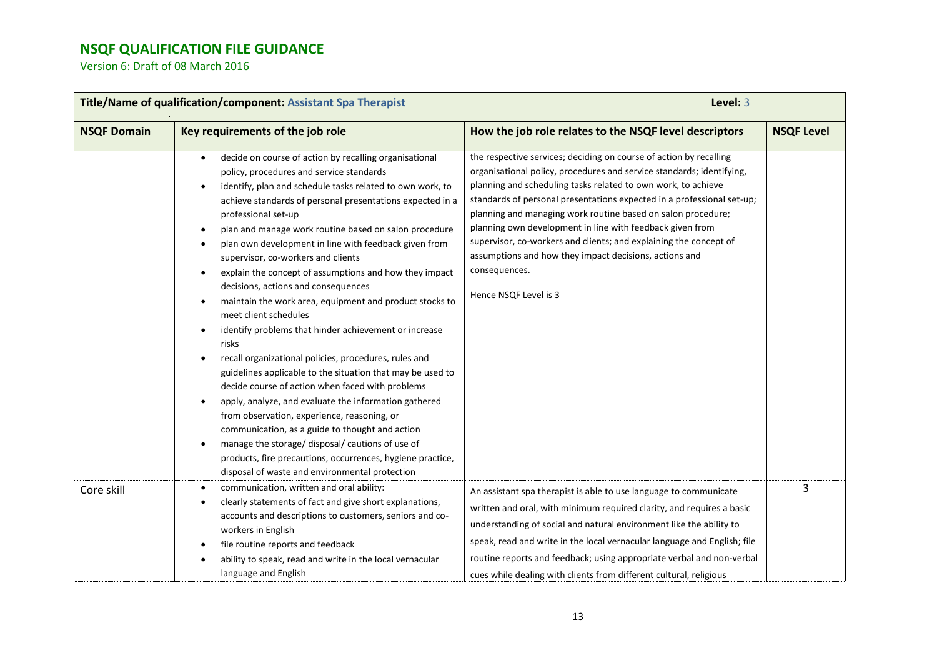| Title/Name of qualification/component: Assistant Spa Therapist |                                                                                                                                                                                                                                                                                                                                                                                                                                                                                                                                                                                                                                                                                                                                                                                                                                                                                                                                                                                                                                                                                                                                                                                                                                                                                                        | Level: 3                                                                                                                                                                                                                                                                                                                                                                                                                                                                                                                                                                                     |                   |
|----------------------------------------------------------------|--------------------------------------------------------------------------------------------------------------------------------------------------------------------------------------------------------------------------------------------------------------------------------------------------------------------------------------------------------------------------------------------------------------------------------------------------------------------------------------------------------------------------------------------------------------------------------------------------------------------------------------------------------------------------------------------------------------------------------------------------------------------------------------------------------------------------------------------------------------------------------------------------------------------------------------------------------------------------------------------------------------------------------------------------------------------------------------------------------------------------------------------------------------------------------------------------------------------------------------------------------------------------------------------------------|----------------------------------------------------------------------------------------------------------------------------------------------------------------------------------------------------------------------------------------------------------------------------------------------------------------------------------------------------------------------------------------------------------------------------------------------------------------------------------------------------------------------------------------------------------------------------------------------|-------------------|
| <b>NSQF Domain</b>                                             | Key requirements of the job role                                                                                                                                                                                                                                                                                                                                                                                                                                                                                                                                                                                                                                                                                                                                                                                                                                                                                                                                                                                                                                                                                                                                                                                                                                                                       | How the job role relates to the NSQF level descriptors                                                                                                                                                                                                                                                                                                                                                                                                                                                                                                                                       | <b>NSQF Level</b> |
|                                                                | decide on course of action by recalling organisational<br>$\bullet$<br>policy, procedures and service standards<br>identify, plan and schedule tasks related to own work, to<br>$\bullet$<br>achieve standards of personal presentations expected in a<br>professional set-up<br>plan and manage work routine based on salon procedure<br>$\bullet$<br>plan own development in line with feedback given from<br>$\bullet$<br>supervisor, co-workers and clients<br>explain the concept of assumptions and how they impact<br>$\bullet$<br>decisions, actions and consequences<br>maintain the work area, equipment and product stocks to<br>٠<br>meet client schedules<br>identify problems that hinder achievement or increase<br>$\bullet$<br>risks<br>recall organizational policies, procedures, rules and<br>$\bullet$<br>guidelines applicable to the situation that may be used to<br>decide course of action when faced with problems<br>apply, analyze, and evaluate the information gathered<br>$\bullet$<br>from observation, experience, reasoning, or<br>communication, as a guide to thought and action<br>manage the storage/ disposal/ cautions of use of<br>$\bullet$<br>products, fire precautions, occurrences, hygiene practice,<br>disposal of waste and environmental protection | the respective services; deciding on course of action by recalling<br>organisational policy, procedures and service standards; identifying,<br>planning and scheduling tasks related to own work, to achieve<br>standards of personal presentations expected in a professional set-up;<br>planning and managing work routine based on salon procedure;<br>planning own development in line with feedback given from<br>supervisor, co-workers and clients; and explaining the concept of<br>assumptions and how they impact decisions, actions and<br>consequences.<br>Hence NSQF Level is 3 |                   |
| Core skill                                                     | communication, written and oral ability:<br>$\bullet$<br>clearly statements of fact and give short explanations,<br>$\bullet$<br>accounts and descriptions to customers, seniors and co-<br>workers in English<br>file routine reports and feedback<br>$\bullet$<br>ability to speak, read and write in the local vernacular<br>language and English                                                                                                                                                                                                                                                                                                                                                                                                                                                                                                                                                                                                                                                                                                                                                                                                                                                                                                                                                   | An assistant spa therapist is able to use language to communicate<br>written and oral, with minimum required clarity, and requires a basic<br>understanding of social and natural environment like the ability to<br>speak, read and write in the local vernacular language and English; file<br>routine reports and feedback; using appropriate verbal and non-verbal<br>cues while dealing with clients from different cultural, religious                                                                                                                                                 | 3                 |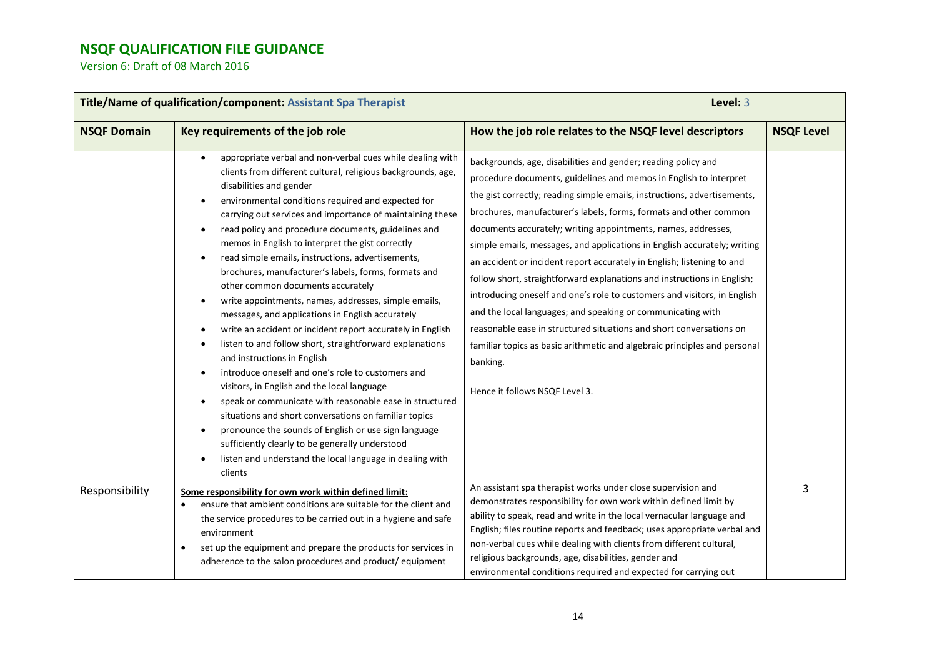| Title/Name of qualification/component: Assistant Spa Therapist |                                                                                                                                                                                                                                                                                                                                                                                                                                                                                                                                                                                                                                                                                                                                                                                                                                                                                                                                                                                                                                                                                                                                                                                                                                                                                                        | Level: 3                                                                                                                                                                                                                                                                                                                                                                                                                                                                                                                                                                                                                                                                                                                                                                                                                                                                                                                           |                   |
|----------------------------------------------------------------|--------------------------------------------------------------------------------------------------------------------------------------------------------------------------------------------------------------------------------------------------------------------------------------------------------------------------------------------------------------------------------------------------------------------------------------------------------------------------------------------------------------------------------------------------------------------------------------------------------------------------------------------------------------------------------------------------------------------------------------------------------------------------------------------------------------------------------------------------------------------------------------------------------------------------------------------------------------------------------------------------------------------------------------------------------------------------------------------------------------------------------------------------------------------------------------------------------------------------------------------------------------------------------------------------------|------------------------------------------------------------------------------------------------------------------------------------------------------------------------------------------------------------------------------------------------------------------------------------------------------------------------------------------------------------------------------------------------------------------------------------------------------------------------------------------------------------------------------------------------------------------------------------------------------------------------------------------------------------------------------------------------------------------------------------------------------------------------------------------------------------------------------------------------------------------------------------------------------------------------------------|-------------------|
| <b>NSQF Domain</b>                                             | Key requirements of the job role                                                                                                                                                                                                                                                                                                                                                                                                                                                                                                                                                                                                                                                                                                                                                                                                                                                                                                                                                                                                                                                                                                                                                                                                                                                                       | How the job role relates to the NSQF level descriptors                                                                                                                                                                                                                                                                                                                                                                                                                                                                                                                                                                                                                                                                                                                                                                                                                                                                             | <b>NSQF Level</b> |
|                                                                | appropriate verbal and non-verbal cues while dealing with<br>clients from different cultural, religious backgrounds, age,<br>disabilities and gender<br>environmental conditions required and expected for<br>$\bullet$<br>carrying out services and importance of maintaining these<br>read policy and procedure documents, guidelines and<br>$\bullet$<br>memos in English to interpret the gist correctly<br>read simple emails, instructions, advertisements,<br>$\bullet$<br>brochures, manufacturer's labels, forms, formats and<br>other common documents accurately<br>write appointments, names, addresses, simple emails,<br>$\bullet$<br>messages, and applications in English accurately<br>write an accident or incident report accurately in English<br>listen to and follow short, straightforward explanations<br>٠<br>and instructions in English<br>introduce oneself and one's role to customers and<br>$\bullet$<br>visitors, in English and the local language<br>speak or communicate with reasonable ease in structured<br>$\bullet$<br>situations and short conversations on familiar topics<br>pronounce the sounds of English or use sign language<br>sufficiently clearly to be generally understood<br>listen and understand the local language in dealing with<br>clients | backgrounds, age, disabilities and gender; reading policy and<br>procedure documents, guidelines and memos in English to interpret<br>the gist correctly; reading simple emails, instructions, advertisements,<br>brochures, manufacturer's labels, forms, formats and other common<br>documents accurately; writing appointments, names, addresses,<br>simple emails, messages, and applications in English accurately; writing<br>an accident or incident report accurately in English; listening to and<br>follow short, straightforward explanations and instructions in English;<br>introducing oneself and one's role to customers and visitors, in English<br>and the local languages; and speaking or communicating with<br>reasonable ease in structured situations and short conversations on<br>familiar topics as basic arithmetic and algebraic principles and personal<br>banking.<br>Hence it follows NSQF Level 3. |                   |
| Responsibility                                                 | Some responsibility for own work within defined limit:<br>ensure that ambient conditions are suitable for the client and<br>the service procedures to be carried out in a hygiene and safe<br>environment<br>set up the equipment and prepare the products for services in<br>$\bullet$<br>adherence to the salon procedures and product/equipment                                                                                                                                                                                                                                                                                                                                                                                                                                                                                                                                                                                                                                                                                                                                                                                                                                                                                                                                                     | An assistant spa therapist works under close supervision and<br>demonstrates responsibility for own work within defined limit by<br>ability to speak, read and write in the local vernacular language and<br>English; files routine reports and feedback; uses appropriate verbal and<br>non-verbal cues while dealing with clients from different cultural,<br>religious backgrounds, age, disabilities, gender and<br>environmental conditions required and expected for carrying out                                                                                                                                                                                                                                                                                                                                                                                                                                            | 3                 |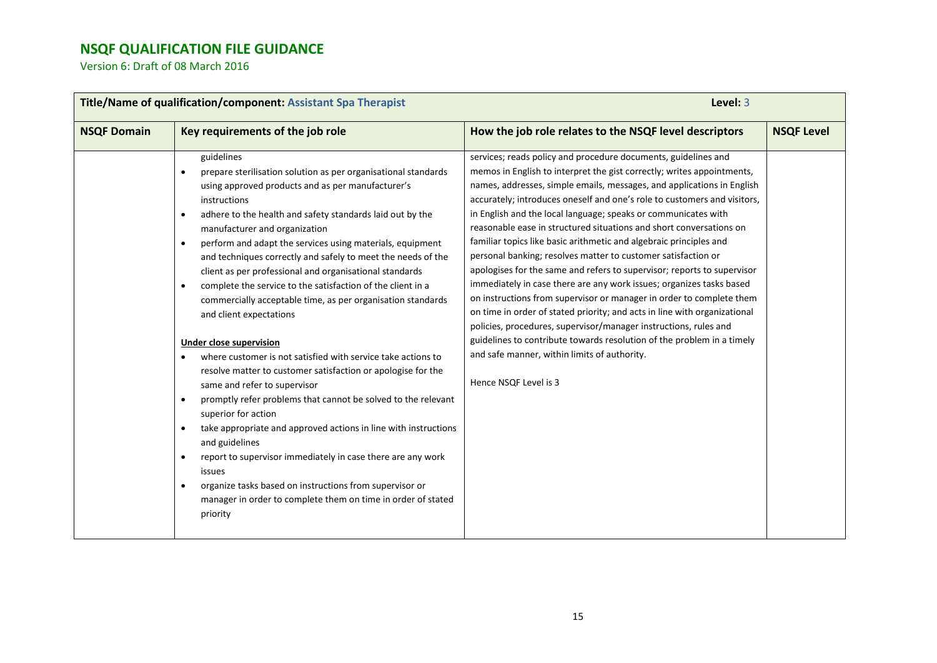|                    | Title/Name of qualification/component: Assistant Spa Therapist                                                                                                                                                                                                                                                                                                                                                                                                                                                                                                                                                                                                                                                                                                                                                                                                                                                                                                                                                                                                                                                                                                                                                                                                                                               | Level: 3                                                                                                                                                                                                                                                                                                                                                                                                                                                                                                                                                                                                                                                                                                                                                                                                                                                                                                                                                                                                                                                                                                      |                   |
|--------------------|--------------------------------------------------------------------------------------------------------------------------------------------------------------------------------------------------------------------------------------------------------------------------------------------------------------------------------------------------------------------------------------------------------------------------------------------------------------------------------------------------------------------------------------------------------------------------------------------------------------------------------------------------------------------------------------------------------------------------------------------------------------------------------------------------------------------------------------------------------------------------------------------------------------------------------------------------------------------------------------------------------------------------------------------------------------------------------------------------------------------------------------------------------------------------------------------------------------------------------------------------------------------------------------------------------------|---------------------------------------------------------------------------------------------------------------------------------------------------------------------------------------------------------------------------------------------------------------------------------------------------------------------------------------------------------------------------------------------------------------------------------------------------------------------------------------------------------------------------------------------------------------------------------------------------------------------------------------------------------------------------------------------------------------------------------------------------------------------------------------------------------------------------------------------------------------------------------------------------------------------------------------------------------------------------------------------------------------------------------------------------------------------------------------------------------------|-------------------|
| <b>NSQF Domain</b> | Key requirements of the job role                                                                                                                                                                                                                                                                                                                                                                                                                                                                                                                                                                                                                                                                                                                                                                                                                                                                                                                                                                                                                                                                                                                                                                                                                                                                             | How the job role relates to the NSQF level descriptors                                                                                                                                                                                                                                                                                                                                                                                                                                                                                                                                                                                                                                                                                                                                                                                                                                                                                                                                                                                                                                                        | <b>NSQF Level</b> |
|                    | guidelines<br>prepare sterilisation solution as per organisational standards<br>$\bullet$<br>using approved products and as per manufacturer's<br>instructions<br>adhere to the health and safety standards laid out by the<br>$\bullet$<br>manufacturer and organization<br>perform and adapt the services using materials, equipment<br>$\bullet$<br>and techniques correctly and safely to meet the needs of the<br>client as per professional and organisational standards<br>complete the service to the satisfaction of the client in a<br>٠<br>commercially acceptable time, as per organisation standards<br>and client expectations<br><b>Under close supervision</b><br>where customer is not satisfied with service take actions to<br>$\bullet$<br>resolve matter to customer satisfaction or apologise for the<br>same and refer to supervisor<br>promptly refer problems that cannot be solved to the relevant<br>$\bullet$<br>superior for action<br>take appropriate and approved actions in line with instructions<br>$\bullet$<br>and guidelines<br>report to supervisor immediately in case there are any work<br>$\bullet$<br>issues<br>organize tasks based on instructions from supervisor or<br>$\bullet$<br>manager in order to complete them on time in order of stated<br>priority | services; reads policy and procedure documents, guidelines and<br>memos in English to interpret the gist correctly; writes appointments,<br>names, addresses, simple emails, messages, and applications in English<br>accurately; introduces oneself and one's role to customers and visitors,<br>in English and the local language; speaks or communicates with<br>reasonable ease in structured situations and short conversations on<br>familiar topics like basic arithmetic and algebraic principles and<br>personal banking; resolves matter to customer satisfaction or<br>apologises for the same and refers to supervisor; reports to supervisor<br>immediately in case there are any work issues; organizes tasks based<br>on instructions from supervisor or manager in order to complete them<br>on time in order of stated priority; and acts in line with organizational<br>policies, procedures, supervisor/manager instructions, rules and<br>guidelines to contribute towards resolution of the problem in a timely<br>and safe manner, within limits of authority.<br>Hence NSQF Level is 3 |                   |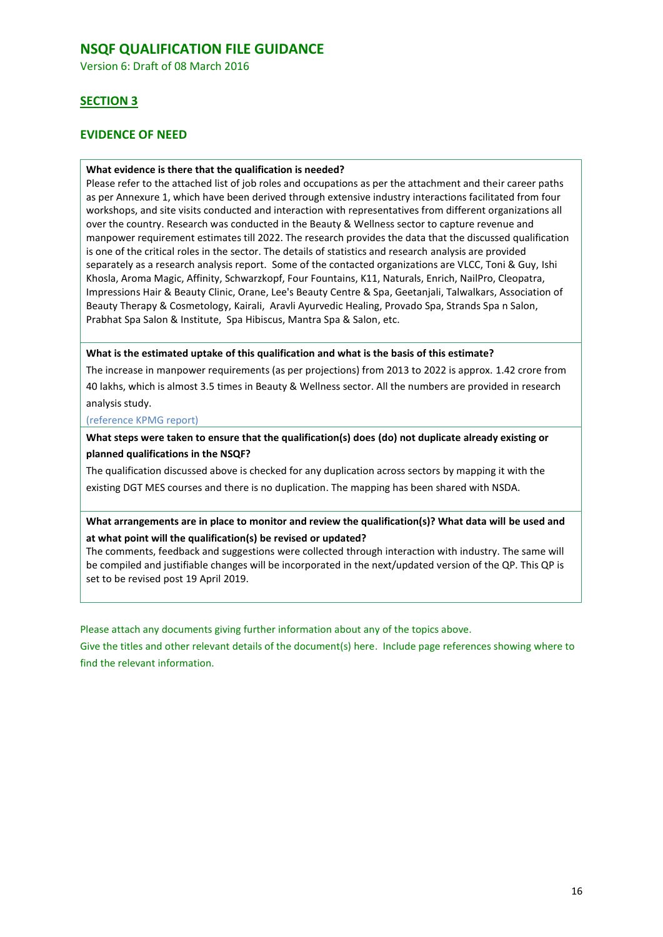Version 6: Draft of 08 March 2016

### **SECTION 3**

### **EVIDENCE OF NEED**

#### **What evidence is there that the qualification is needed?**

Please refer to the attached list of job roles and occupations as per the attachment and their career paths as per Annexure 1, which have been derived through extensive industry interactions facilitated from four workshops, and site visits conducted and interaction with representatives from different organizations all over the country. Research was conducted in the Beauty & Wellness sector to capture revenue and manpower requirement estimates till 2022. The research provides the data that the discussed qualification is one of the critical roles in the sector. The details of statistics and research analysis are provided separately as a research analysis report. Some of the contacted organizations are VLCC, Toni & Guy, Ishi Khosla, Aroma Magic, Affinity, Schwarzkopf, Four Fountains, K11, Naturals, Enrich, NailPro, Cleopatra, Impressions Hair & Beauty Clinic, Orane, Lee's Beauty Centre & Spa, Geetanjali, Talwalkars, Association of Beauty Therapy & Cosmetology, Kairali, Aravli Ayurvedic Healing, Provado Spa, Strands Spa n Salon, Prabhat Spa Salon & Institute, Spa Hibiscus, Mantra Spa & Salon, etc.

#### **What is the estimated uptake of this qualification and what is the basis of this estimate?**

The increase in manpower requirements (as per projections) from 2013 to 2022 is approx. 1.42 crore from 40 lakhs, which is almost 3.5 times in Beauty & Wellness sector. All the numbers are provided in research analysis study.

#### (reference KPMG report)

### **What steps were taken to ensure that the qualification(s) does (do) not duplicate already existing or planned qualifications in the NSQF?**

The qualification discussed above is checked for any duplication across sectors by mapping it with the existing DGT MES courses and there is no duplication. The mapping has been shared with NSDA.

### **What arrangements are in place to monitor and review the qualification(s)? What data will be used and at what point will the qualification(s) be revised or updated?**

The comments, feedback and suggestions were collected through interaction with industry. The same will be compiled and justifiable changes will be incorporated in the next/updated version of the QP. This QP is set to be revised post 19 April 2019.

Please attach any documents giving further information about any of the topics above.

Give the titles and other relevant details of the document(s) here. Include page references showing where to find the relevant information.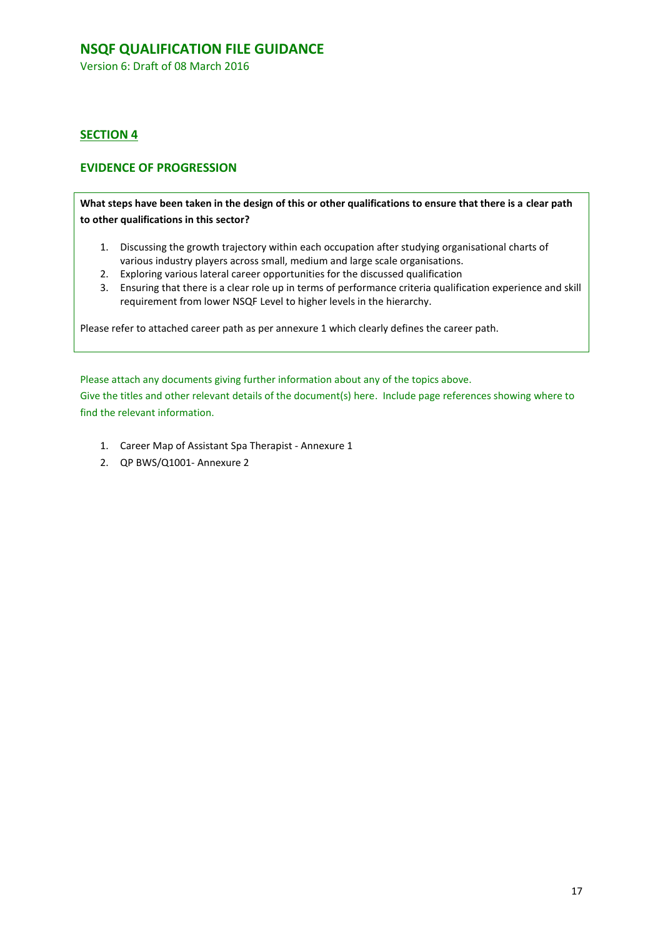Version 6: Draft of 08 March 2016

## **SECTION 4**

### **EVIDENCE OF PROGRESSION**

**What steps have been taken in the design of this or other qualifications to ensure that there is a clear path to other qualifications in this sector?**

- 1. Discussing the growth trajectory within each occupation after studying organisational charts of various industry players across small, medium and large scale organisations.
- 2. Exploring various lateral career opportunities for the discussed qualification
- 3. Ensuring that there is a clear role up in terms of performance criteria qualification experience and skill requirement from lower NSQF Level to higher levels in the hierarchy.

Please refer to attached career path as per annexure 1 which clearly defines the career path.

Please attach any documents giving further information about any of the topics above. Give the titles and other relevant details of the document(s) here. Include page references showing where to find the relevant information.

- 1. Career Map of Assistant Spa Therapist Annexure 1
- 2. QP BWS/Q1001- Annexure 2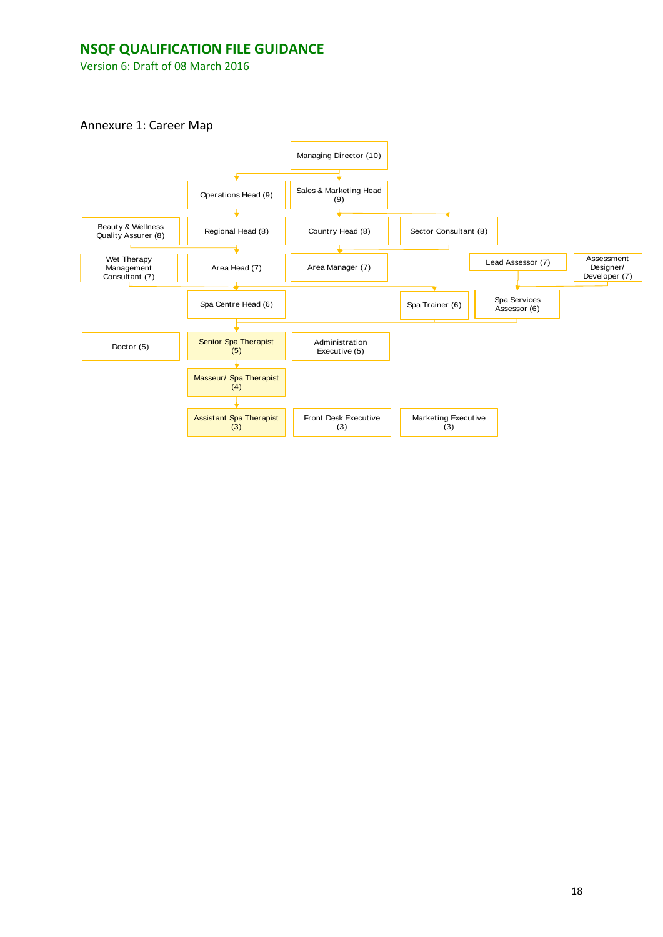Version 6: Draft of 08 March 2016

### Annexure 1: Career Map